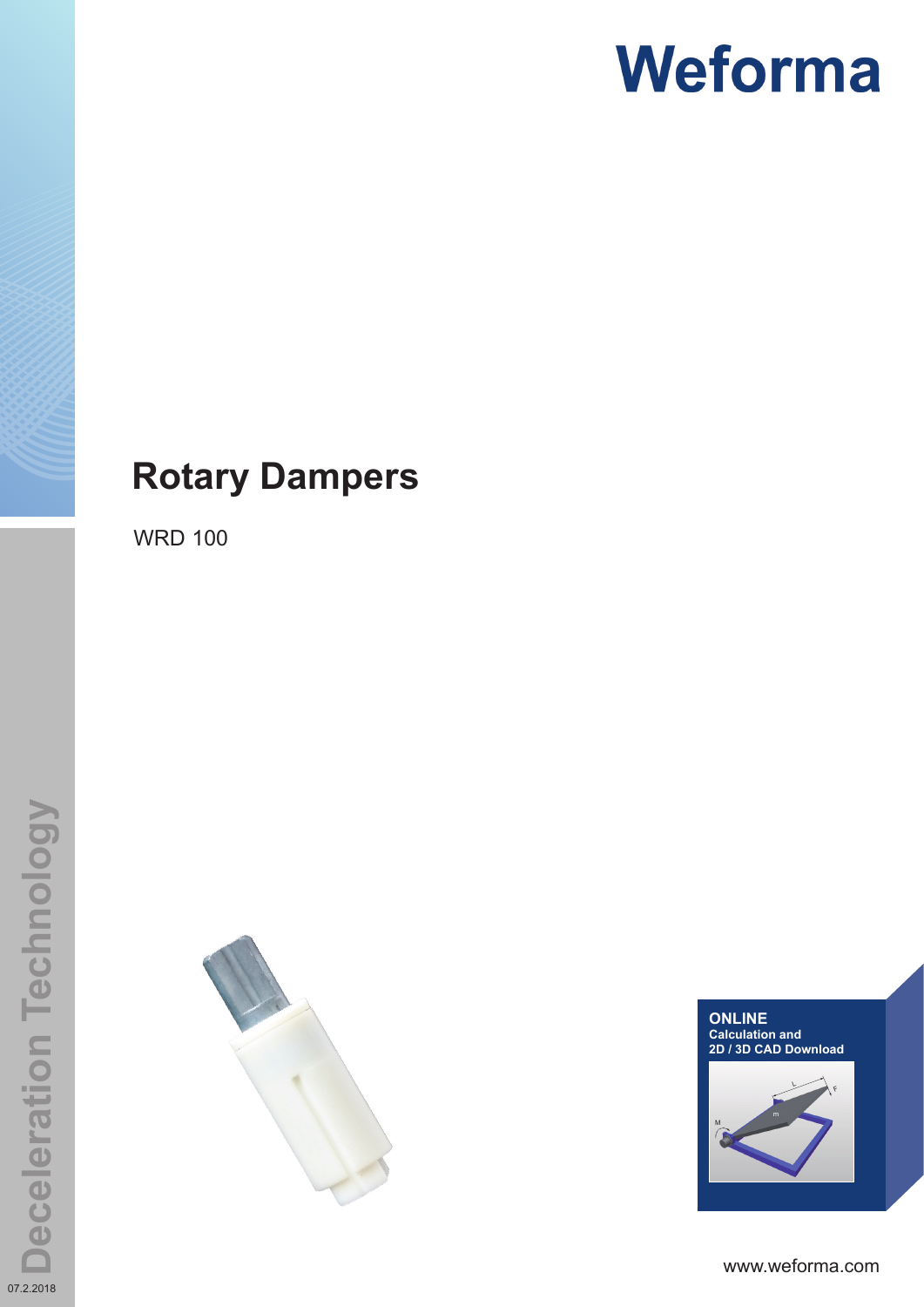# **Rotary Dampers**

WRD 100





www.weforma.com

07.2.2018

**Deceleration Technology**

**Deceleration Technology**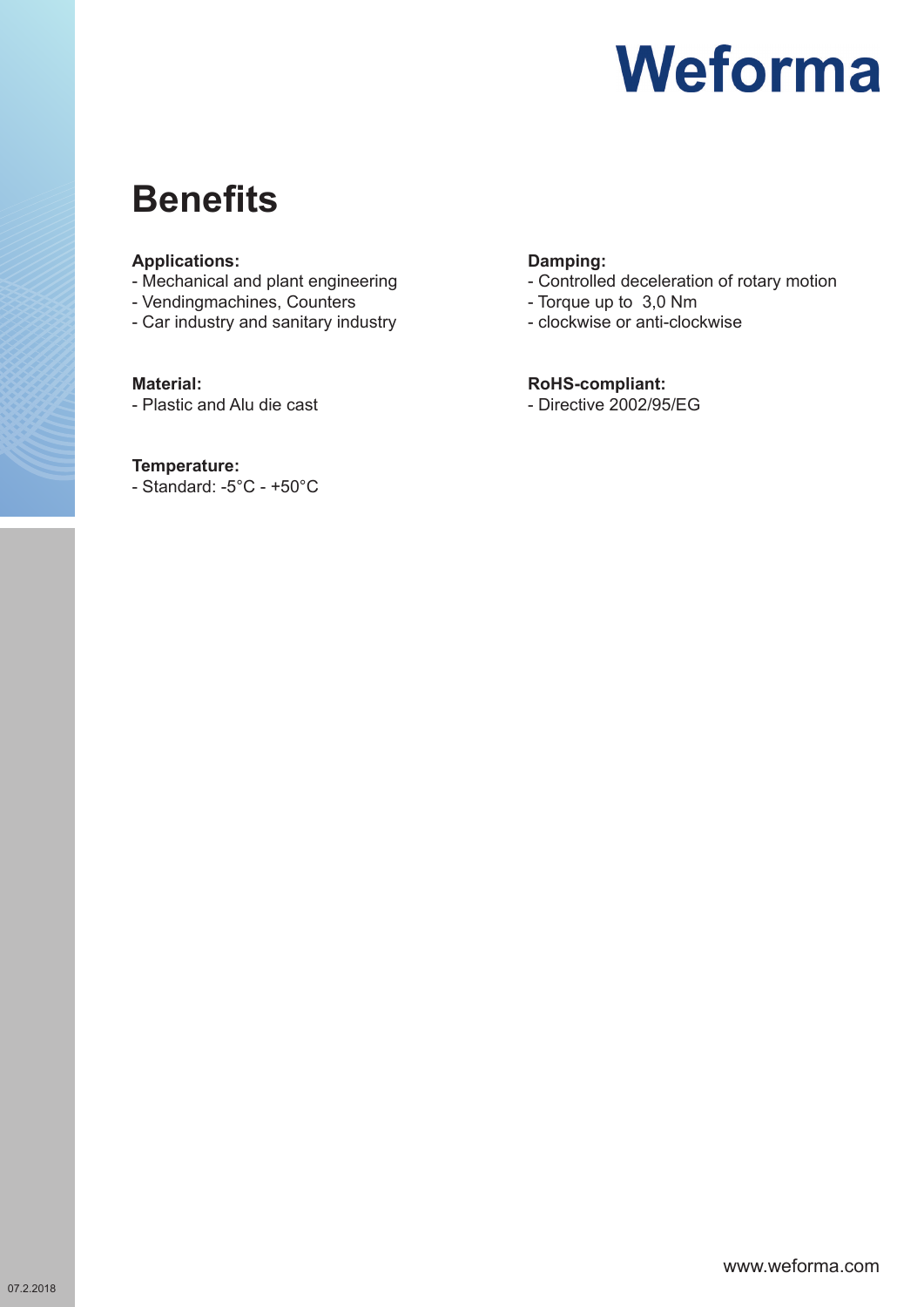# **Benefits**

### **Applications:**

- Mechanical and plant engineering
- Vendingmachines, Counters
- Car industry and sanitary industry

#### **Material:**

- Plastic and Alu die cast

### **Temperature:**

- Standard: -5°C - +50°C

## **Damping:**

- Controlled deceleration of rotary motion
- Torque up to 3,0 Nm
- clockwise or anti-clockwise

### **RoHS-compliant:**

- Directive 2002/95/EG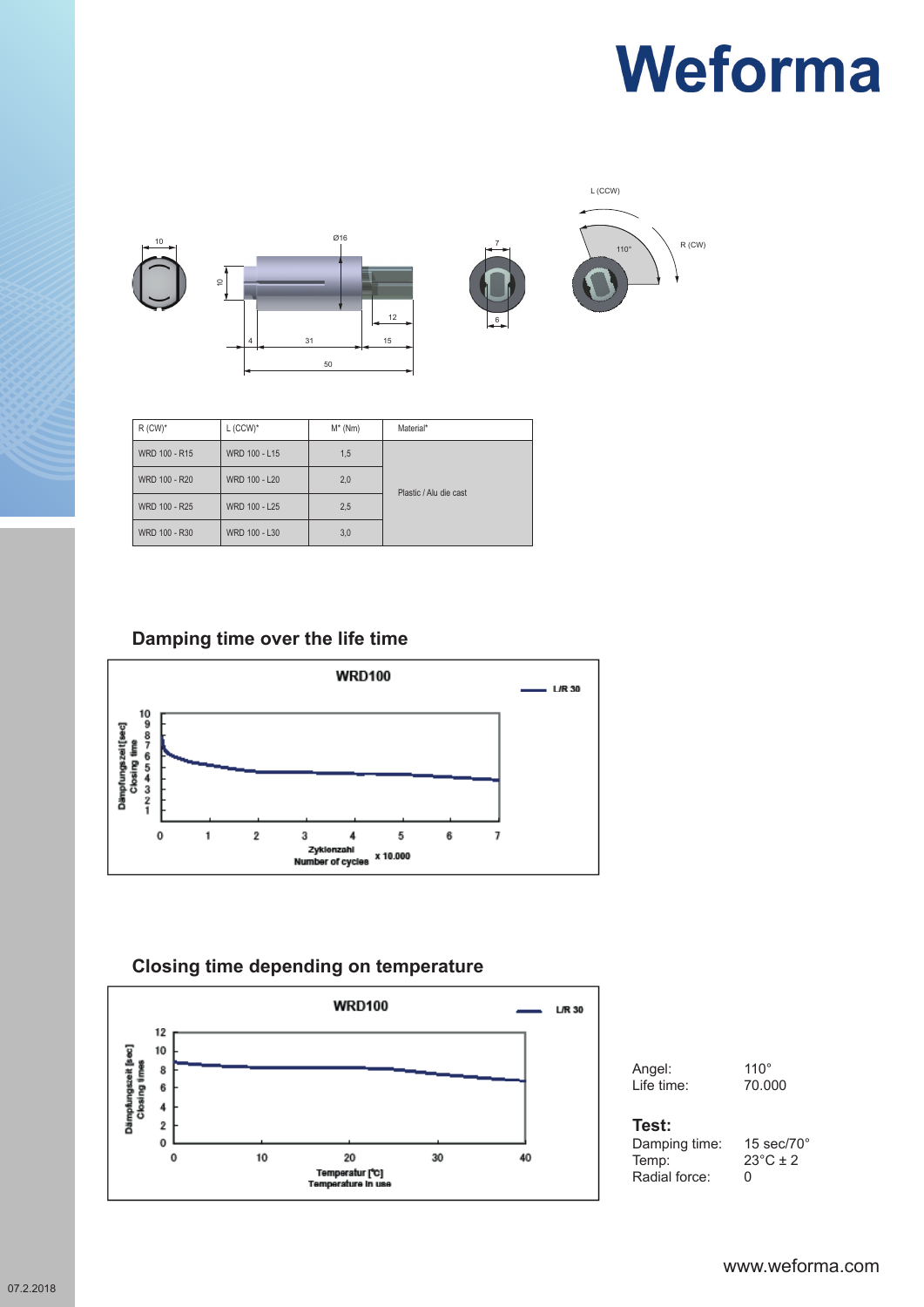

| $R$ (CW) <sup>*</sup> | $L$ (CCW) <sup>*</sup> | $M^*$ (Nm) | Material*              |
|-----------------------|------------------------|------------|------------------------|
| WRD 100 - R15         | WRD 100 - L15          | 1,5        |                        |
| WRD 100 - R20         | WRD 100 - L20          | 2,0        | Plastic / Alu die cast |
| WRD 100 - R25         | WRD 100 - L25          | 2,5        |                        |
| WRD 100 - R30         | WRD 100 - L30          | 3,0        |                        |

# **Damping time over the life time**



## **Closing time depending on temperature**



| Angel:     | $110^{\circ}$ |
|------------|---------------|
| Life time: | 70.00         |

# 70.000

#### **Test:**

Damping time: 15 sec/70°<br>Temp: 23°C ± 2 Radial force:

 $23^{\circ}$ C ± 2<br>0